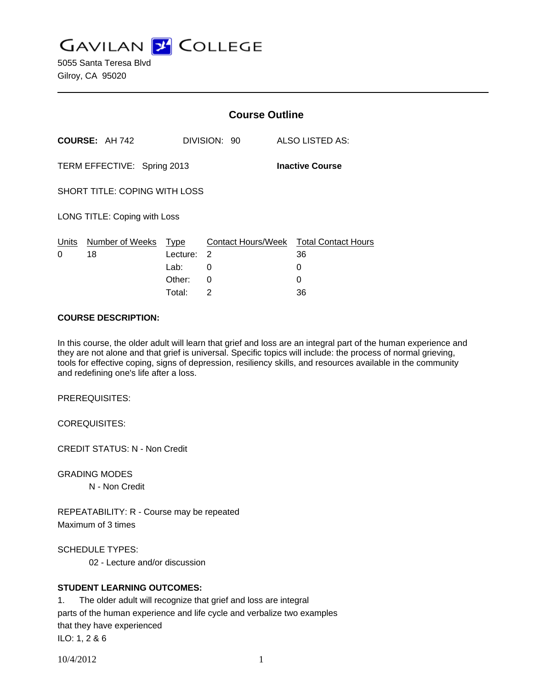**GAVILAN J COLLEGE** 

5055 Santa Teresa Blvd Gilroy, CA 95020

|                                                       |                                  | <b>Course Outline</b>           |              |                                                        |
|-------------------------------------------------------|----------------------------------|---------------------------------|--------------|--------------------------------------------------------|
|                                                       | <b>COURSE: AH 742</b>            |                                 | DIVISION: 90 | <b>ALSO LISTED AS:</b>                                 |
| <b>Inactive Course</b><br>TERM EFFECTIVE: Spring 2013 |                                  |                                 |              |                                                        |
| <b>SHORT TITLE: COPING WITH LOSS</b>                  |                                  |                                 |              |                                                        |
| LONG TITLE: Coping with Loss                          |                                  |                                 |              |                                                        |
| 0                                                     | Units Number of Weeks Type<br>18 | Lecture: 2<br>Lab: __<br>Other: | 0<br>0       | Contact Hours/Week Total Contact Hours<br>36<br>0<br>0 |
|                                                       |                                  | Total:                          | 2            | 36                                                     |

#### **COURSE DESCRIPTION:**

In this course, the older adult will learn that grief and loss are an integral part of the human experience and they are not alone and that grief is universal. Specific topics will include: the process of normal grieving, tools for effective coping, signs of depression, resiliency skills, and resources available in the community and redefining one's life after a loss.

PREREQUISITES:

COREQUISITES:

CREDIT STATUS: N - Non Credit

GRADING MODES

N - Non Credit

REPEATABILITY: R - Course may be repeated Maximum of 3 times

SCHEDULE TYPES:

02 - Lecture and/or discussion

#### **STUDENT LEARNING OUTCOMES:**

1. The older adult will recognize that grief and loss are integral parts of the human experience and life cycle and verbalize two examples that they have experienced ILO: 1, 2 & 6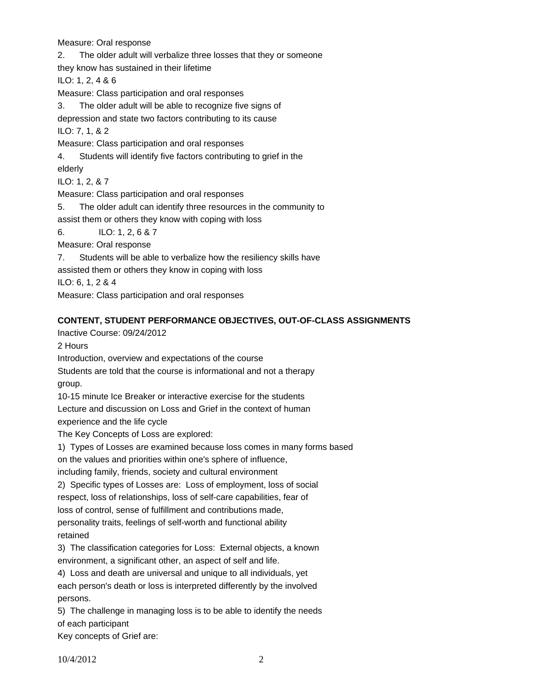Measure: Oral response

2. The older adult will verbalize three losses that they or someone they know has sustained in their lifetime ILO: 1, 2, 4 & 6 Measure: Class participation and oral responses 3. The older adult will be able to recognize five signs of depression and state two factors contributing to its cause ILO: 7, 1, & 2 Measure: Class participation and oral responses 4. Students will identify five factors contributing to grief in the elderly ILO: 1, 2, & 7 Measure: Class participation and oral responses 5. The older adult can identify three resources in the community to assist them or others they know with coping with loss 6. ILO: 1, 2, 6 & 7 Measure: Oral response 7. Students will be able to verbalize how the resiliency skills have assisted them or others they know in coping with loss ILO: 6, 1, 2 & 4 Measure: Class participation and oral responses

### **CONTENT, STUDENT PERFORMANCE OBJECTIVES, OUT-OF-CLASS ASSIGNMENTS**

Inactive Course: 09/24/2012

2 Hours

Introduction, overview and expectations of the course

Students are told that the course is informational and not a therapy group.

10-15 minute Ice Breaker or interactive exercise for the students

Lecture and discussion on Loss and Grief in the context of human

experience and the life cycle

The Key Concepts of Loss are explored:

1) Types of Losses are examined because loss comes in many forms based on the values and priorities within one's sphere of influence,

including family, friends, society and cultural environment

2) Specific types of Losses are: Loss of employment, loss of social respect, loss of relationships, loss of self-care capabilities, fear of

loss of control, sense of fulfillment and contributions made,

personality traits, feelings of self-worth and functional ability retained

3) The classification categories for Loss: External objects, a known environment, a significant other, an aspect of self and life.

4) Loss and death are universal and unique to all individuals, yet

each person's death or loss is interpreted differently by the involved persons.

5) The challenge in managing loss is to be able to identify the needs of each participant

Key concepts of Grief are: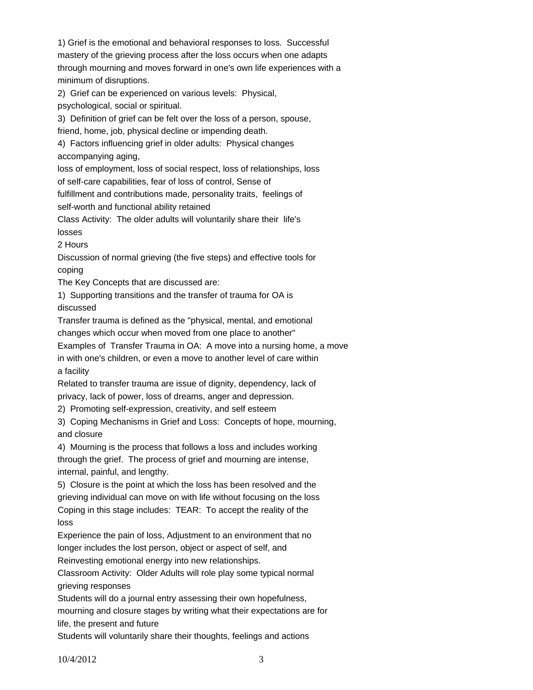1) Grief is the emotional and behavioral responses to loss. Successful mastery of the grieving process after the loss occurs when one adapts through mourning and moves forward in one's own life experiences with a minimum of disruptions.

2) Grief can be experienced on various levels: Physical,

psychological, social or spiritual.

3) Definition of grief can be felt over the loss of a person, spouse,

friend, home, job, physical decline or impending death.

4) Factors influencing grief in older adults: Physical changes accompanying aging,

loss of employment, loss of social respect, loss of relationships, loss

of self-care capabilities, fear of loss of control, Sense of

fulfillment and contributions made, personality traits, feelings of

self-worth and functional ability retained

Class Activity: The older adults will voluntarily share their life's losses

2 Hours

Discussion of normal grieving (the five steps) and effective tools for coping

The Key Concepts that are discussed are:

1) Supporting transitions and the transfer of trauma for OA is discussed

Transfer trauma is defined as the "physical, mental, and emotional changes which occur when moved from one place to another" Examples of Transfer Trauma in OA: A move into a nursing home, a move

in with one's children, or even a move to another level of care within a facility

Related to transfer trauma are issue of dignity, dependency, lack of privacy, lack of power, loss of dreams, anger and depression.

2) Promoting self-expression, creativity, and self esteem

3) Coping Mechanisms in Grief and Loss: Concepts of hope, mourning, and closure

4) Mourning is the process that follows a loss and includes working through the grief. The process of grief and mourning are intense, internal, painful, and lengthy.

5) Closure is the point at which the loss has been resolved and the grieving individual can move on with life without focusing on the loss Coping in this stage includes: TEAR: To accept the reality of the loss

Experience the pain of loss, Adjustment to an environment that no longer includes the lost person, object or aspect of self, and

Reinvesting emotional energy into new relationships.

Classroom Activity: Older Adults will role play some typical normal grieving responses

Students will do a journal entry assessing their own hopefulness,

mourning and closure stages by writing what their expectations are for life, the present and future

Students will voluntarily share their thoughts, feelings and actions

10/4/2012 3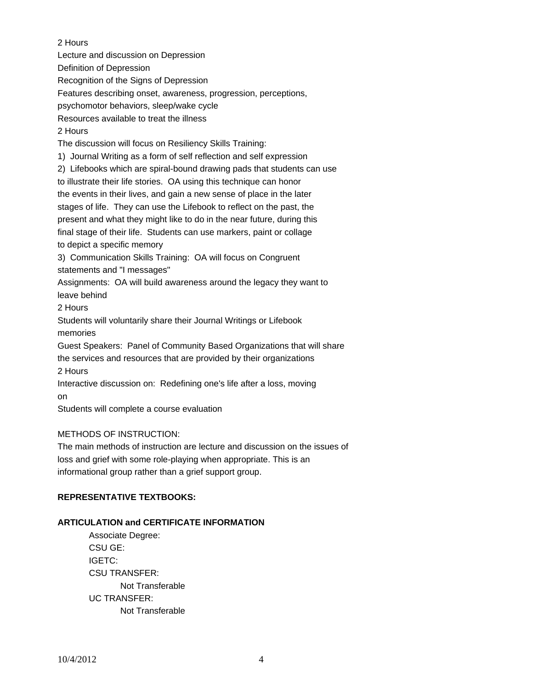2 Hours

Lecture and discussion on Depression

Definition of Depression

Recognition of the Signs of Depression

Features describing onset, awareness, progression, perceptions,

psychomotor behaviors, sleep/wake cycle

Resources available to treat the illness

2 Hours

The discussion will focus on Resiliency Skills Training:

1) Journal Writing as a form of self reflection and self expression

2) Lifebooks which are spiral-bound drawing pads that students can use

to illustrate their life stories. OA using this technique can honor

the events in their lives, and gain a new sense of place in the later

stages of life. They can use the Lifebook to reflect on the past, the

present and what they might like to do in the near future, during this

final stage of their life. Students can use markers, paint or collage to depict a specific memory

3) Communication Skills Training: OA will focus on Congruent statements and "I messages"

Assignments: OA will build awareness around the legacy they want to leave behind

2 Hours

Students will voluntarily share their Journal Writings or Lifebook memories

Guest Speakers: Panel of Community Based Organizations that will share

the services and resources that are provided by their organizations 2 Hours

Interactive discussion on: Redefining one's life after a loss, moving on

Students will complete a course evaluation

# METHODS OF INSTRUCTION:

The main methods of instruction are lecture and discussion on the issues of loss and grief with some role-playing when appropriate. This is an informational group rather than a grief support group.

# **REPRESENTATIVE TEXTBOOKS:**

# **ARTICULATION and CERTIFICATE INFORMATION**

 Not Transferable UC TRANSFER: Not Transferable Associate Degree: CSU GE: IGETC: CSU TRANSFER: